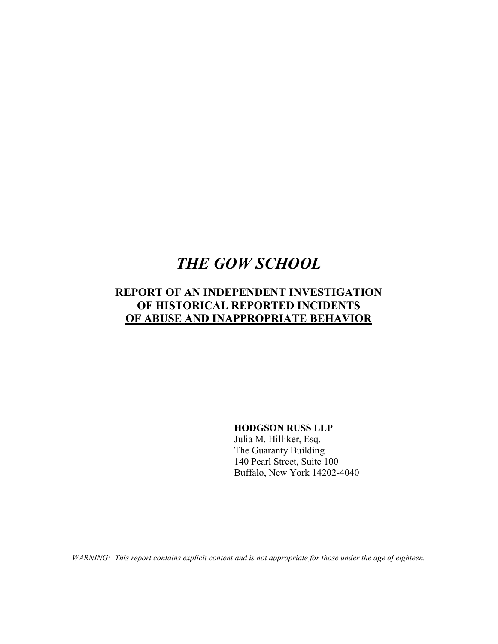# THE GOW SCHOOL

# REPORT OF AN INDEPENDENT INVESTIGATION OF HISTORICAL REPORTED INCIDENTS OF ABUSE AND INAPPROPRIATE BEHAVIOR

HODGSON RUSS LLP

Julia M. Hilliker, Esq. The Guaranty Building 140 Pearl Street, Suite 100 Buffalo, New York 14202-4040

WARNING: This report contains explicit content and is not appropriate for those under the age of eighteen.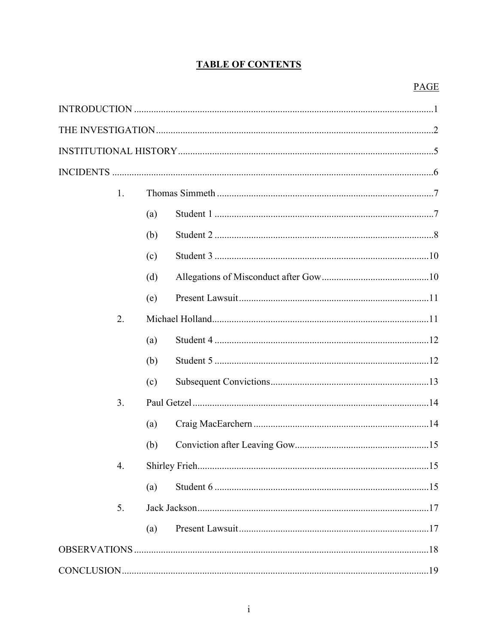# **TABLE OF CONTENTS**

# **PAGE**

|  | 1. |     |  |  |
|--|----|-----|--|--|
|  |    | (a) |  |  |
|  |    | (b) |  |  |
|  |    | (c) |  |  |
|  |    | (d) |  |  |
|  |    | (e) |  |  |
|  | 2. |     |  |  |
|  |    | (a) |  |  |
|  |    | (b) |  |  |
|  |    | (c) |  |  |
|  | 3. |     |  |  |
|  |    | (a) |  |  |
|  |    | (b) |  |  |
|  | 4. |     |  |  |
|  |    | (a) |  |  |
|  | 5. |     |  |  |
|  |    | (a) |  |  |
|  |    |     |  |  |
|  |    |     |  |  |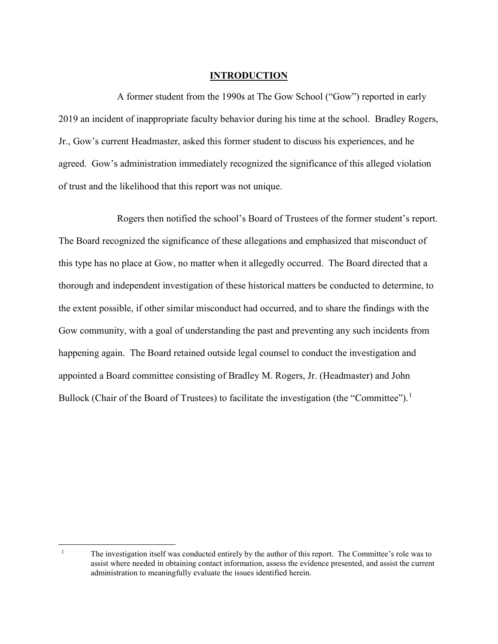# **INTRODUCTION**

A former student from the 1990s at The Gow School ("Gow") reported in early 2019 an incident of inappropriate faculty behavior during his time at the school. Bradley Rogers, Jr., Gow's current Headmaster, asked this former student to discuss his experiences, and he agreed. Gow's administration immediately recognized the significance of this alleged violation of trust and the likelihood that this report was not unique.

Rogers then notified the school's Board of Trustees of the former student's report. The Board recognized the significance of these allegations and emphasized that misconduct of this type has no place at Gow, no matter when it allegedly occurred. The Board directed that a thorough and independent investigation of these historical matters be conducted to determine, to the extent possible, if other similar misconduct had occurred, and to share the findings with the Gow community, with a goal of understanding the past and preventing any such incidents from happening again. The Board retained outside legal counsel to conduct the investigation and appointed a Board committee consisting of Bradley M. Rogers, Jr. (Headmaster) and John Bullock (Chair of the Board of Trustees) to facilitate the investigation (the "Committee").<sup>1</sup>

<sup>1</sup> The investigation itself was conducted entirely by the author of this report. The Committee's role was to assist where needed in obtaining contact information, assess the evidence presented, and assist the current administration to meaningfully evaluate the issues identified herein.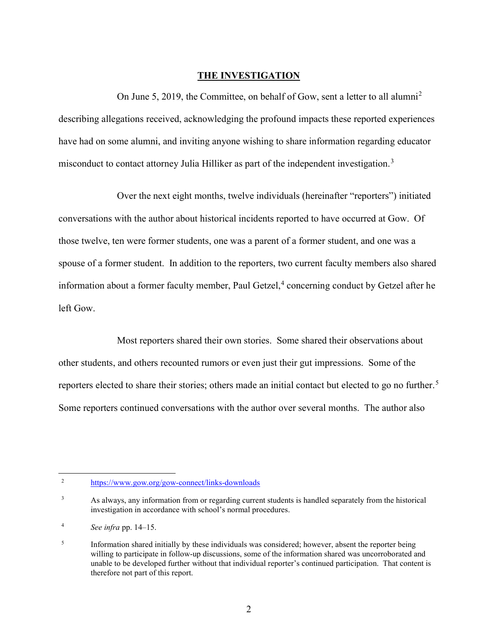#### THE INVESTIGATION

On June 5, 2019, the Committee, on behalf of Gow, sent a letter to all alumni<sup>2</sup> describing allegations received, acknowledging the profound impacts these reported experiences have had on some alumni, and inviting anyone wishing to share information regarding educator misconduct to contact attorney Julia Hilliker as part of the independent investigation.<sup>3</sup>

Over the next eight months, twelve individuals (hereinafter "reporters") initiated conversations with the author about historical incidents reported to have occurred at Gow. Of those twelve, ten were former students, one was a parent of a former student, and one was a spouse of a former student. In addition to the reporters, two current faculty members also shared information about a former faculty member, Paul Getzel, $4$  concerning conduct by Getzel after he left Gow.

Most reporters shared their own stories. Some shared their observations about other students, and others recounted rumors or even just their gut impressions. Some of the reporters elected to share their stories; others made an initial contact but elected to go no further.<sup>5</sup> Some reporters continued conversations with the author over several months. The author also

<sup>2</sup> https://www.gow.org/gow-connect/links-downloads

<sup>3</sup> As always, any information from or regarding current students is handled separately from the historical investigation in accordance with school's normal procedures.

<sup>4</sup> See infra pp. 14–15.

<sup>5</sup> Information shared initially by these individuals was considered; however, absent the reporter being willing to participate in follow-up discussions, some of the information shared was uncorroborated and unable to be developed further without that individual reporter's continued participation. That content is therefore not part of this report.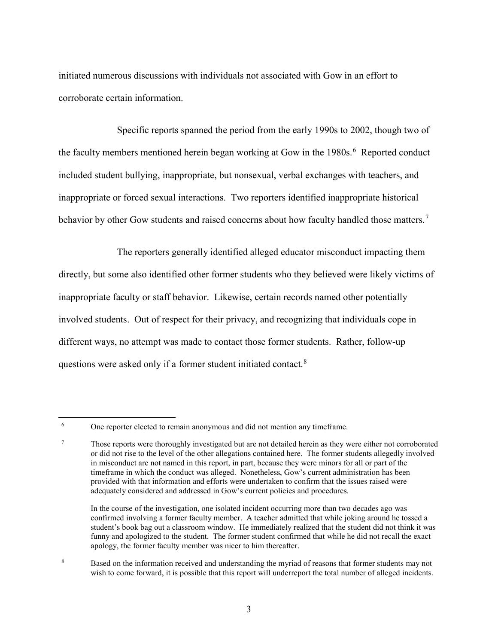initiated numerous discussions with individuals not associated with Gow in an effort to corroborate certain information.

Specific reports spanned the period from the early 1990s to 2002, though two of the faculty members mentioned herein began working at Gow in the  $1980s$ .<sup>6</sup> Reported conduct included student bullying, inappropriate, but nonsexual, verbal exchanges with teachers, and inappropriate or forced sexual interactions. Two reporters identified inappropriate historical behavior by other Gow students and raised concerns about how faculty handled those matters.<sup>7</sup>

The reporters generally identified alleged educator misconduct impacting them directly, but some also identified other former students who they believed were likely victims of inappropriate faculty or staff behavior. Likewise, certain records named other potentially involved students. Out of respect for their privacy, and recognizing that individuals cope in different ways, no attempt was made to contact those former students. Rather, follow-up questions were asked only if a former student initiated contact.<sup>8</sup>

 $\overline{a}$ 

8 Based on the information received and understanding the myriad of reasons that former students may not wish to come forward, it is possible that this report will underreport the total number of alleged incidents.

<sup>6</sup> One reporter elected to remain anonymous and did not mention any timeframe.

<sup>7</sup> Those reports were thoroughly investigated but are not detailed herein as they were either not corroborated or did not rise to the level of the other allegations contained here. The former students allegedly involved in misconduct are not named in this report, in part, because they were minors for all or part of the timeframe in which the conduct was alleged. Nonetheless, Gow's current administration has been provided with that information and efforts were undertaken to confirm that the issues raised were adequately considered and addressed in Gow's current policies and procedures.

In the course of the investigation, one isolated incident occurring more than two decades ago was confirmed involving a former faculty member. A teacher admitted that while joking around he tossed a student's book bag out a classroom window. He immediately realized that the student did not think it was funny and apologized to the student. The former student confirmed that while he did not recall the exact apology, the former faculty member was nicer to him thereafter.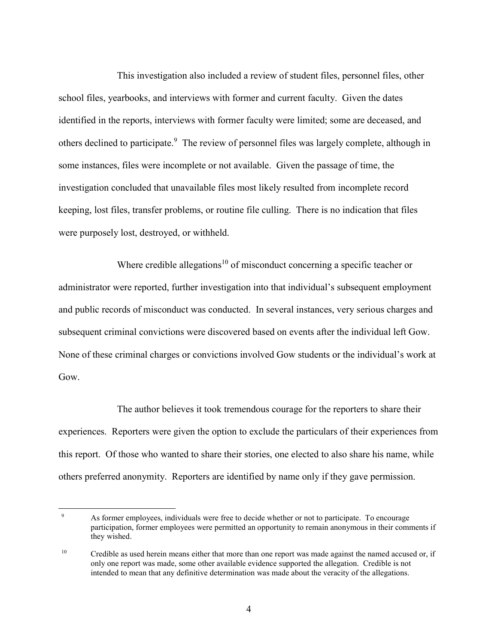This investigation also included a review of student files, personnel files, other school files, yearbooks, and interviews with former and current faculty. Given the dates identified in the reports, interviews with former faculty were limited; some are deceased, and others declined to participate.<sup>9</sup> The review of personnel files was largely complete, although in some instances, files were incomplete or not available. Given the passage of time, the investigation concluded that unavailable files most likely resulted from incomplete record keeping, lost files, transfer problems, or routine file culling. There is no indication that files were purposely lost, destroyed, or withheld.

Where credible allegations<sup>10</sup> of misconduct concerning a specific teacher or administrator were reported, further investigation into that individual's subsequent employment and public records of misconduct was conducted. In several instances, very serious charges and subsequent criminal convictions were discovered based on events after the individual left Gow. None of these criminal charges or convictions involved Gow students or the individual's work at Gow.

The author believes it took tremendous courage for the reporters to share their experiences. Reporters were given the option to exclude the particulars of their experiences from this report. Of those who wanted to share their stories, one elected to also share his name, while others preferred anonymity. Reporters are identified by name only if they gave permission.

 $\frac{1}{9}$  As former employees, individuals were free to decide whether or not to participate. To encourage participation, former employees were permitted an opportunity to remain anonymous in their comments if they wished.

<sup>&</sup>lt;sup>10</sup> Credible as used herein means either that more than one report was made against the named accused or, if only one report was made, some other available evidence supported the allegation. Credible is not intended to mean that any definitive determination was made about the veracity of the allegations.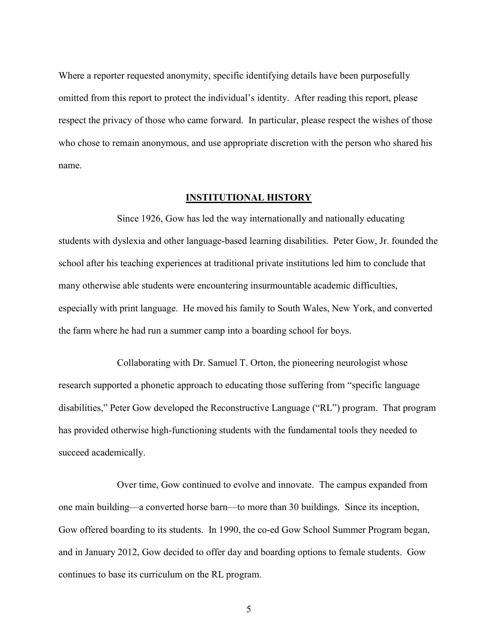Where a reporter requested anonymity, specific identifying details have been purposefully omitted from this report to protect the individual's identity. After reading this report, please respect the privacy of those who came forward. In particular, please respect the wishes of those who chose to remain anonymous, and use appropriate discretion with the person who shared his name.

#### INSTITUTIONAL HISTORY

Since 1926, Gow has led the way internationally and nationally educating students with dyslexia and other language-based learning disabilities. Peter Gow, Jr. founded the school after his teaching experiences at traditional private institutions led him to conclude that many otherwise able students were encountering insurmountable academic difficulties, especially with print language. He moved his family to South Wales, New York, and converted the farm where he had run a summer camp into a boarding school for boys.

Collaborating with Dr. Samuel T. Orton, the pioneering neurologist whose research supported a phonetic approach to educating those suffering from "specific language disabilities," Peter Gow developed the Reconstructive Language ("RL") program. That program has provided otherwise high-functioning students with the fundamental tools they needed to succeed academically.

Over time, Gow continued to evolve and innovate. The campus expanded from one main building—a converted horse barn—to more than 30 buildings. Since its inception, Gow offered boarding to its students. In 1990, the co-ed Gow School Summer Program began, and in January 2012, Gow decided to offer day and boarding options to female students. Gow continues to base its curriculum on the RL program.

5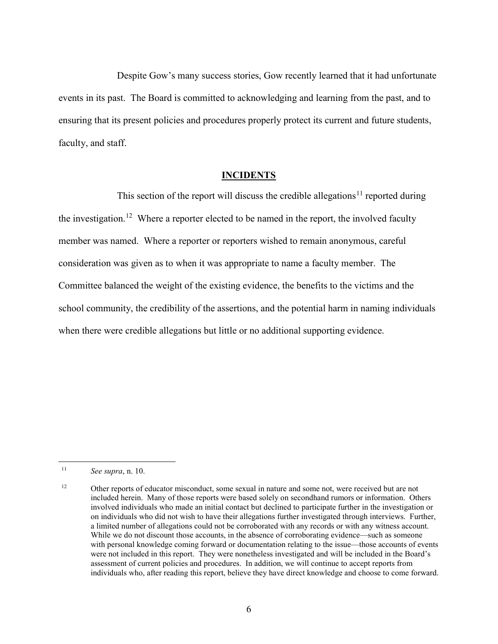Despite Gow's many success stories, Gow recently learned that it had unfortunate events in its past. The Board is committed to acknowledging and learning from the past, and to ensuring that its present policies and procedures properly protect its current and future students, faculty, and staff.

#### **INCIDENTS**

This section of the report will discuss the credible allegations<sup>11</sup> reported during the investigation.<sup>12</sup> Where a reporter elected to be named in the report, the involved faculty member was named. Where a reporter or reporters wished to remain anonymous, careful consideration was given as to when it was appropriate to name a faculty member. The Committee balanced the weight of the existing evidence, the benefits to the victims and the school community, the credibility of the assertions, and the potential harm in naming individuals when there were credible allegations but little or no additional supporting evidence.

<sup>11</sup> See supra, n. 10.

<sup>&</sup>lt;sup>12</sup> Other reports of educator misconduct, some sexual in nature and some not, were received but are not included herein. Many of those reports were based solely on secondhand rumors or information. Others involved individuals who made an initial contact but declined to participate further in the investigation or on individuals who did not wish to have their allegations further investigated through interviews. Further, a limited number of allegations could not be corroborated with any records or with any witness account. While we do not discount those accounts, in the absence of corroborating evidence—such as someone with personal knowledge coming forward or documentation relating to the issue—those accounts of events were not included in this report. They were nonetheless investigated and will be included in the Board's assessment of current policies and procedures. In addition, we will continue to accept reports from individuals who, after reading this report, believe they have direct knowledge and choose to come forward.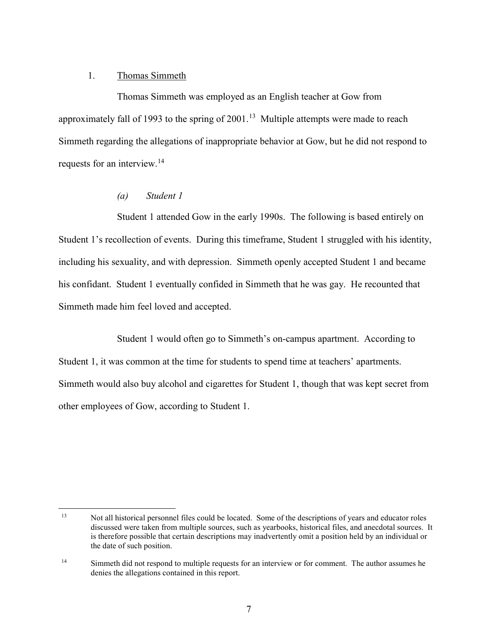#### 1. Thomas Simmeth

Thomas Simmeth was employed as an English teacher at Gow from approximately fall of 1993 to the spring of  $2001$ .<sup>13</sup> Multiple attempts were made to reach Simmeth regarding the allegations of inappropriate behavior at Gow, but he did not respond to requests for an interview.<sup>14</sup>

# (a) Student 1

Student 1 attended Gow in the early 1990s. The following is based entirely on Student 1's recollection of events. During this timeframe, Student 1 struggled with his identity, including his sexuality, and with depression. Simmeth openly accepted Student 1 and became his confidant. Student 1 eventually confided in Simmeth that he was gay. He recounted that Simmeth made him feel loved and accepted.

Student 1 would often go to Simmeth's on-campus apartment. According to Student 1, it was common at the time for students to spend time at teachers' apartments. Simmeth would also buy alcohol and cigarettes for Student 1, though that was kept secret from other employees of Gow, according to Student 1.

 $\overline{a}$ <sup>13</sup> Not all historical personnel files could be located. Some of the descriptions of years and educator roles discussed were taken from multiple sources, such as yearbooks, historical files, and anecdotal sources. It is therefore possible that certain descriptions may inadvertently omit a position held by an individual or the date of such position.

<sup>&</sup>lt;sup>14</sup> Simmeth did not respond to multiple requests for an interview or for comment. The author assumes he denies the allegations contained in this report.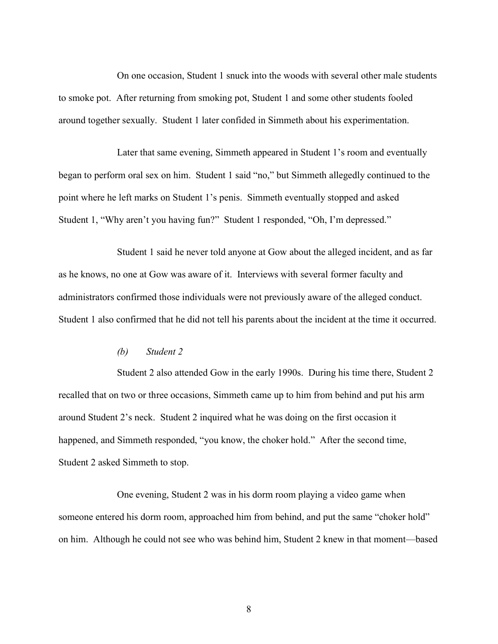On one occasion, Student 1 snuck into the woods with several other male students to smoke pot. After returning from smoking pot, Student 1 and some other students fooled around together sexually. Student 1 later confided in Simmeth about his experimentation.

Later that same evening, Simmeth appeared in Student 1's room and eventually began to perform oral sex on him. Student 1 said "no," but Simmeth allegedly continued to the point where he left marks on Student 1's penis. Simmeth eventually stopped and asked Student 1, "Why aren't you having fun?" Student 1 responded, "Oh, I'm depressed."

Student 1 said he never told anyone at Gow about the alleged incident, and as far as he knows, no one at Gow was aware of it. Interviews with several former faculty and administrators confirmed those individuals were not previously aware of the alleged conduct. Student 1 also confirmed that he did not tell his parents about the incident at the time it occurred.

## (b) Student 2

Student 2 also attended Gow in the early 1990s. During his time there, Student 2 recalled that on two or three occasions, Simmeth came up to him from behind and put his arm around Student 2's neck. Student 2 inquired what he was doing on the first occasion it happened, and Simmeth responded, "you know, the choker hold." After the second time, Student 2 asked Simmeth to stop.

One evening, Student 2 was in his dorm room playing a video game when someone entered his dorm room, approached him from behind, and put the same "choker hold" on him. Although he could not see who was behind him, Student 2 knew in that moment—based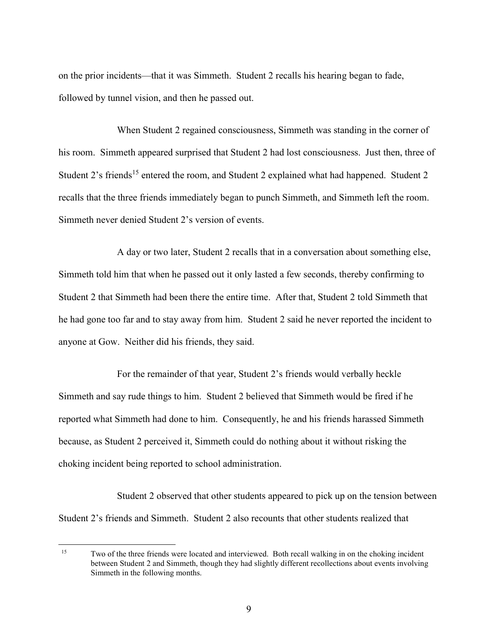on the prior incidents—that it was Simmeth. Student 2 recalls his hearing began to fade, followed by tunnel vision, and then he passed out.

When Student 2 regained consciousness, Simmeth was standing in the corner of his room. Simmeth appeared surprised that Student 2 had lost consciousness. Just then, three of Student 2's friends<sup>15</sup> entered the room, and Student 2 explained what had happened. Student 2 recalls that the three friends immediately began to punch Simmeth, and Simmeth left the room. Simmeth never denied Student 2's version of events.

A day or two later, Student 2 recalls that in a conversation about something else, Simmeth told him that when he passed out it only lasted a few seconds, thereby confirming to Student 2 that Simmeth had been there the entire time. After that, Student 2 told Simmeth that he had gone too far and to stay away from him. Student 2 said he never reported the incident to anyone at Gow. Neither did his friends, they said.

For the remainder of that year, Student 2's friends would verbally heckle Simmeth and say rude things to him. Student 2 believed that Simmeth would be fired if he reported what Simmeth had done to him. Consequently, he and his friends harassed Simmeth because, as Student 2 perceived it, Simmeth could do nothing about it without risking the choking incident being reported to school administration.

Student 2 observed that other students appeared to pick up on the tension between Student 2's friends and Simmeth. Student 2 also recounts that other students realized that

<sup>&</sup>lt;sup>15</sup> Two of the three friends were located and interviewed. Both recall walking in on the choking incident between Student 2 and Simmeth, though they had slightly different recollections about events involving Simmeth in the following months.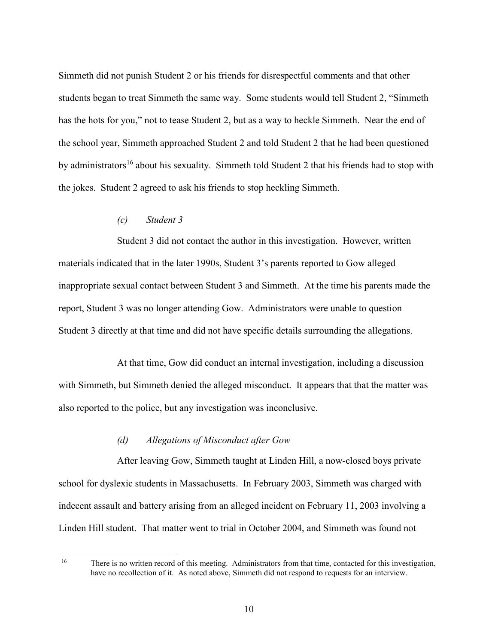Simmeth did not punish Student 2 or his friends for disrespectful comments and that other students began to treat Simmeth the same way. Some students would tell Student 2, "Simmeth has the hots for you," not to tease Student 2, but as a way to heckle Simmeth. Near the end of the school year, Simmeth approached Student 2 and told Student 2 that he had been questioned by administrators<sup>16</sup> about his sexuality. Simmeth told Student 2 that his friends had to stop with the jokes. Student 2 agreed to ask his friends to stop heckling Simmeth.

# (c) Student 3

 $\overline{a}$ 

Student 3 did not contact the author in this investigation. However, written materials indicated that in the later 1990s, Student 3's parents reported to Gow alleged inappropriate sexual contact between Student 3 and Simmeth. At the time his parents made the report, Student 3 was no longer attending Gow. Administrators were unable to question Student 3 directly at that time and did not have specific details surrounding the allegations.

At that time, Gow did conduct an internal investigation, including a discussion with Simmeth, but Simmeth denied the alleged misconduct. It appears that that the matter was also reported to the police, but any investigation was inconclusive.

#### (d) Allegations of Misconduct after Gow

After leaving Gow, Simmeth taught at Linden Hill, a now-closed boys private school for dyslexic students in Massachusetts. In February 2003, Simmeth was charged with indecent assault and battery arising from an alleged incident on February 11, 2003 involving a Linden Hill student. That matter went to trial in October 2004, and Simmeth was found not

<sup>&</sup>lt;sup>16</sup> There is no written record of this meeting. Administrators from that time, contacted for this investigation, have no recollection of it. As noted above, Simmeth did not respond to requests for an interview.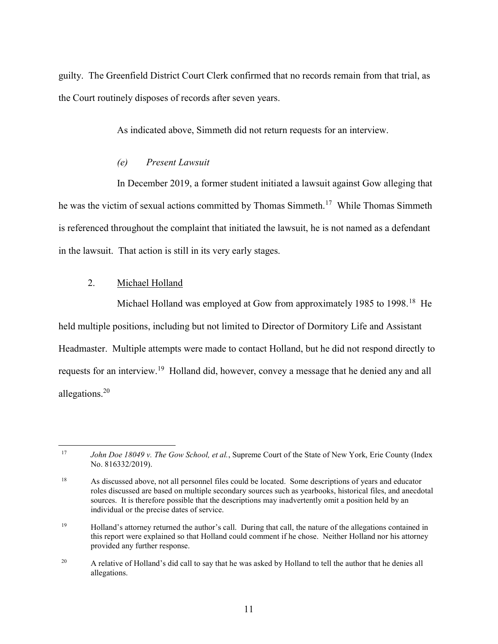guilty. The Greenfield District Court Clerk confirmed that no records remain from that trial, as the Court routinely disposes of records after seven years.

As indicated above, Simmeth did not return requests for an interview.

# (e) Present Lawsuit

In December 2019, a former student initiated a lawsuit against Gow alleging that he was the victim of sexual actions committed by Thomas Simmeth.<sup>17</sup> While Thomas Simmeth is referenced throughout the complaint that initiated the lawsuit, he is not named as a defendant in the lawsuit. That action is still in its very early stages.

# 2. Michael Holland

Michael Holland was employed at Gow from approximately 1985 to 1998.<sup>18</sup> He held multiple positions, including but not limited to Director of Dormitory Life and Assistant Headmaster. Multiple attempts were made to contact Holland, but he did not respond directly to requests for an interview.<sup>19</sup> Holland did, however, convey a message that he denied any and all allegations.<sup>20</sup>

 $\overline{a}$ 17 John Doe 18049 v. The Gow School, et al., Supreme Court of the State of New York, Erie County (Index No. 816332/2019).

<sup>18</sup> As discussed above, not all personnel files could be located. Some descriptions of years and educator roles discussed are based on multiple secondary sources such as yearbooks, historical files, and anecdotal sources. It is therefore possible that the descriptions may inadvertently omit a position held by an individual or the precise dates of service.

<sup>&</sup>lt;sup>19</sup> Holland's attorney returned the author's call. During that call, the nature of the allegations contained in this report were explained so that Holland could comment if he chose. Neither Holland nor his attorney provided any further response.

<sup>&</sup>lt;sup>20</sup> A relative of Holland's did call to say that he was asked by Holland to tell the author that he denies all allegations.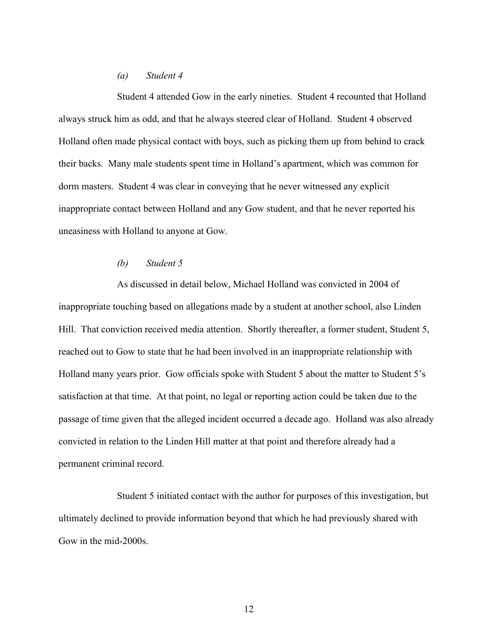# (a) Student 4

Student 4 attended Gow in the early nineties. Student 4 recounted that Holland always struck him as odd, and that he always steered clear of Holland. Student 4 observed Holland often made physical contact with boys, such as picking them up from behind to crack their backs. Many male students spent time in Holland's apartment, which was common for dorm masters. Student 4 was clear in conveying that he never witnessed any explicit inappropriate contact between Holland and any Gow student, and that he never reported his uneasiness with Holland to anyone at Gow.

# (b) Student 5

As discussed in detail below, Michael Holland was convicted in 2004 of inappropriate touching based on allegations made by a student at another school, also Linden Hill. That conviction received media attention. Shortly thereafter, a former student, Student 5, reached out to Gow to state that he had been involved in an inappropriate relationship with Holland many years prior. Gow officials spoke with Student 5 about the matter to Student 5's satisfaction at that time. At that point, no legal or reporting action could be taken due to the passage of time given that the alleged incident occurred a decade ago. Holland was also already convicted in relation to the Linden Hill matter at that point and therefore already had a permanent criminal record.

Student 5 initiated contact with the author for purposes of this investigation, but ultimately declined to provide information beyond that which he had previously shared with Gow in the mid-2000s.

12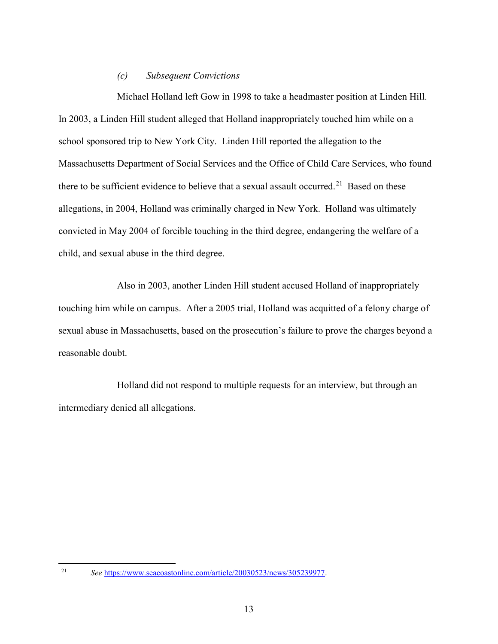#### (c) Subsequent Convictions

Michael Holland left Gow in 1998 to take a headmaster position at Linden Hill. In 2003, a Linden Hill student alleged that Holland inappropriately touched him while on a school sponsored trip to New York City. Linden Hill reported the allegation to the Massachusetts Department of Social Services and the Office of Child Care Services, who found there to be sufficient evidence to believe that a sexual assault occurred.<sup>21</sup> Based on these allegations, in 2004, Holland was criminally charged in New York. Holland was ultimately convicted in May 2004 of forcible touching in the third degree, endangering the welfare of a child, and sexual abuse in the third degree.

Also in 2003, another Linden Hill student accused Holland of inappropriately touching him while on campus. After a 2005 trial, Holland was acquitted of a felony charge of sexual abuse in Massachusetts, based on the prosecution's failure to prove the charges beyond a reasonable doubt.

Holland did not respond to multiple requests for an interview, but through an intermediary denied all allegations.

 $\overline{a}$ 21

See https://www.seacoastonline.com/article/20030523/news/305239977.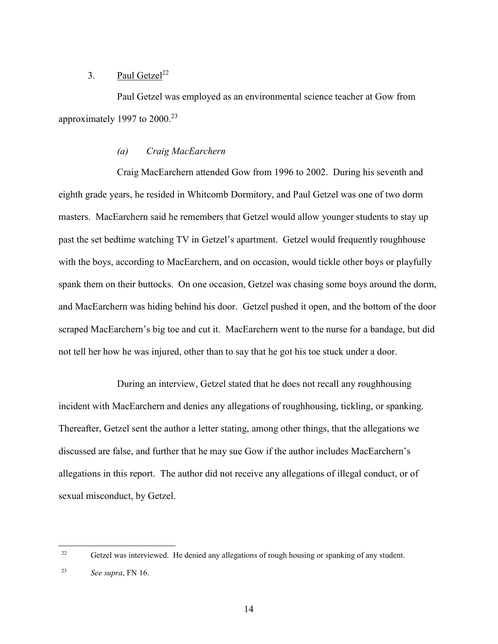# 3. Paul Getzel<sup>22</sup>

Paul Getzel was employed as an environmental science teacher at Gow from approximately 1997 to  $2000.<sup>23</sup>$ 

# (a) Craig MacEarchern

Craig MacEarchern attended Gow from 1996 to 2002. During his seventh and eighth grade years, he resided in Whitcomb Dormitory, and Paul Getzel was one of two dorm masters. MacEarchern said he remembers that Getzel would allow younger students to stay up past the set bedtime watching TV in Getzel's apartment. Getzel would frequently roughhouse with the boys, according to MacEarchern, and on occasion, would tickle other boys or playfully spank them on their buttocks. On one occasion, Getzel was chasing some boys around the dorm, and MacEarchern was hiding behind his door. Getzel pushed it open, and the bottom of the door scraped MacEarchern's big toe and cut it. MacEarchern went to the nurse for a bandage, but did not tell her how he was injured, other than to say that he got his toe stuck under a door.

During an interview, Getzel stated that he does not recall any roughhousing incident with MacEarchern and denies any allegations of roughhousing, tickling, or spanking. Thereafter, Getzel sent the author a letter stating, among other things, that the allegations we discussed are false, and further that he may sue Gow if the author includes MacEarchern's allegations in this report. The author did not receive any allegations of illegal conduct, or of sexual misconduct, by Getzel.

<sup>&</sup>lt;sup>22</sup> Getzel was interviewed. He denied any allegations of rough housing or spanking of any student.

<sup>23</sup> See supra, FN 16.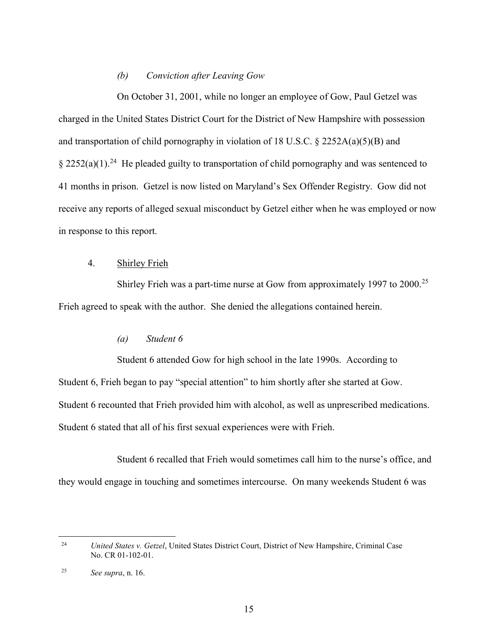# (b) Conviction after Leaving Gow

On October 31, 2001, while no longer an employee of Gow, Paul Getzel was charged in the United States District Court for the District of New Hampshire with possession and transportation of child pornography in violation of 18 U.S.C. § 2252A(a)(5)(B) and  $\frac{2252(a)(1)^{24}}{2}$  He pleaded guilty to transportation of child pornography and was sentenced to 41 months in prison. Getzel is now listed on Maryland's Sex Offender Registry. Gow did not receive any reports of alleged sexual misconduct by Getzel either when he was employed or now in response to this report.

# 4. Shirley Frieh

Shirley Frieh was a part-time nurse at Gow from approximately 1997 to 2000.<sup>25</sup> Frieh agreed to speak with the author. She denied the allegations contained herein.

# (a) Student 6

Student 6 attended Gow for high school in the late 1990s. According to Student 6, Frieh began to pay "special attention" to him shortly after she started at Gow. Student 6 recounted that Frieh provided him with alcohol, as well as unprescribed medications. Student 6 stated that all of his first sexual experiences were with Frieh.

Student 6 recalled that Frieh would sometimes call him to the nurse's office, and they would engage in touching and sometimes intercourse. On many weekends Student 6 was

<sup>24</sup> United States v. Getzel, United States District Court, District of New Hampshire, Criminal Case No. CR 01-102-01.

<sup>25</sup> See supra, n. 16.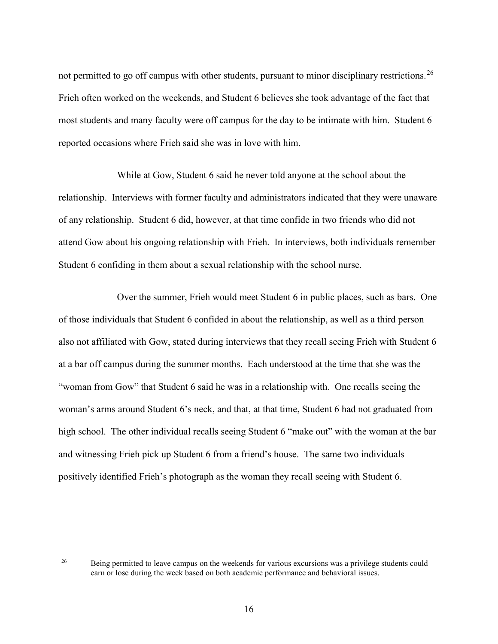not permitted to go off campus with other students, pursuant to minor disciplinary restrictions.<sup>26</sup> Frieh often worked on the weekends, and Student 6 believes she took advantage of the fact that most students and many faculty were off campus for the day to be intimate with him. Student 6 reported occasions where Frieh said she was in love with him.

While at Gow, Student 6 said he never told anyone at the school about the relationship. Interviews with former faculty and administrators indicated that they were unaware of any relationship. Student 6 did, however, at that time confide in two friends who did not attend Gow about his ongoing relationship with Frieh. In interviews, both individuals remember Student 6 confiding in them about a sexual relationship with the school nurse.

Over the summer, Frieh would meet Student 6 in public places, such as bars. One of those individuals that Student 6 confided in about the relationship, as well as a third person also not affiliated with Gow, stated during interviews that they recall seeing Frieh with Student 6 at a bar off campus during the summer months. Each understood at the time that she was the "woman from Gow" that Student 6 said he was in a relationship with. One recalls seeing the woman's arms around Student 6's neck, and that, at that time, Student 6 had not graduated from high school. The other individual recalls seeing Student 6 "make out" with the woman at the bar and witnessing Frieh pick up Student 6 from a friend's house. The same two individuals positively identified Frieh's photograph as the woman they recall seeing with Student 6.

<sup>&</sup>lt;sup>26</sup> Being permitted to leave campus on the weekends for various excursions was a privilege students could earn or lose during the week based on both academic performance and behavioral issues.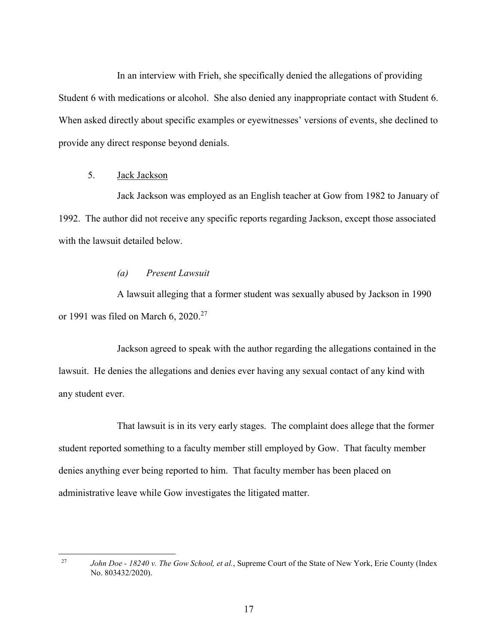In an interview with Frieh, she specifically denied the allegations of providing Student 6 with medications or alcohol. She also denied any inappropriate contact with Student 6. When asked directly about specific examples or eyewitnesses' versions of events, she declined to provide any direct response beyond denials.

# 5. Jack Jackson

 $\overline{a}$ 

Jack Jackson was employed as an English teacher at Gow from 1982 to January of 1992. The author did not receive any specific reports regarding Jackson, except those associated with the lawsuit detailed below.

# (a) Present Lawsuit

A lawsuit alleging that a former student was sexually abused by Jackson in 1990 or 1991 was filed on March 6,  $2020.<sup>27</sup>$ 

Jackson agreed to speak with the author regarding the allegations contained in the lawsuit. He denies the allegations and denies ever having any sexual contact of any kind with any student ever.

That lawsuit is in its very early stages. The complaint does allege that the former student reported something to a faculty member still employed by Gow. That faculty member denies anything ever being reported to him. That faculty member has been placed on administrative leave while Gow investigates the litigated matter.

27 John Doe - 18240 v. The Gow School, et al., Supreme Court of the State of New York, Erie County (Index No. 803432/2020).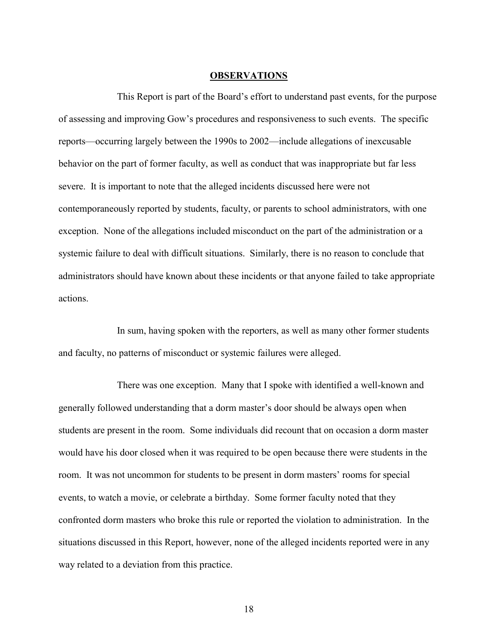#### **OBSERVATIONS**

This Report is part of the Board's effort to understand past events, for the purpose of assessing and improving Gow's procedures and responsiveness to such events. The specific reports—occurring largely between the 1990s to 2002—include allegations of inexcusable behavior on the part of former faculty, as well as conduct that was inappropriate but far less severe. It is important to note that the alleged incidents discussed here were not contemporaneously reported by students, faculty, or parents to school administrators, with one exception. None of the allegations included misconduct on the part of the administration or a systemic failure to deal with difficult situations. Similarly, there is no reason to conclude that administrators should have known about these incidents or that anyone failed to take appropriate actions.

In sum, having spoken with the reporters, as well as many other former students and faculty, no patterns of misconduct or systemic failures were alleged.

There was one exception. Many that I spoke with identified a well-known and generally followed understanding that a dorm master's door should be always open when students are present in the room. Some individuals did recount that on occasion a dorm master would have his door closed when it was required to be open because there were students in the room. It was not uncommon for students to be present in dorm masters' rooms for special events, to watch a movie, or celebrate a birthday. Some former faculty noted that they confronted dorm masters who broke this rule or reported the violation to administration. In the situations discussed in this Report, however, none of the alleged incidents reported were in any way related to a deviation from this practice.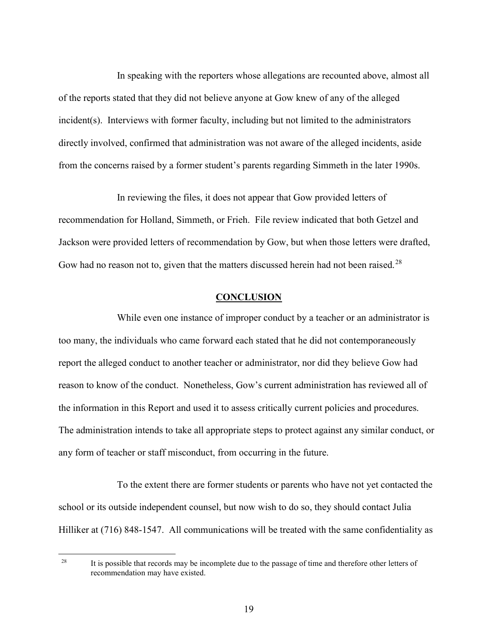In speaking with the reporters whose allegations are recounted above, almost all of the reports stated that they did not believe anyone at Gow knew of any of the alleged incident(s). Interviews with former faculty, including but not limited to the administrators directly involved, confirmed that administration was not aware of the alleged incidents, aside from the concerns raised by a former student's parents regarding Simmeth in the later 1990s.

In reviewing the files, it does not appear that Gow provided letters of recommendation for Holland, Simmeth, or Frieh. File review indicated that both Getzel and Jackson were provided letters of recommendation by Gow, but when those letters were drafted, Gow had no reason not to, given that the matters discussed herein had not been raised.<sup>28</sup>

#### **CONCLUSION**

While even one instance of improper conduct by a teacher or an administrator is too many, the individuals who came forward each stated that he did not contemporaneously report the alleged conduct to another teacher or administrator, nor did they believe Gow had reason to know of the conduct. Nonetheless, Gow's current administration has reviewed all of the information in this Report and used it to assess critically current policies and procedures. The administration intends to take all appropriate steps to protect against any similar conduct, or any form of teacher or staff misconduct, from occurring in the future.

To the extent there are former students or parents who have not yet contacted the school or its outside independent counsel, but now wish to do so, they should contact Julia Hilliker at (716) 848-1547. All communications will be treated with the same confidentiality as

<sup>28</sup> It is possible that records may be incomplete due to the passage of time and therefore other letters of recommendation may have existed.